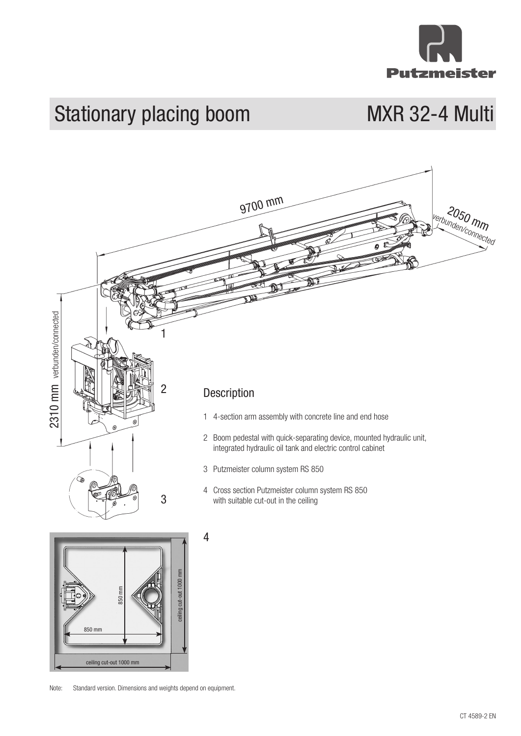

## Stationary placing boom MXR 32-4 Multi





Note: Standard version. Dimensions and weights depend on equipment.